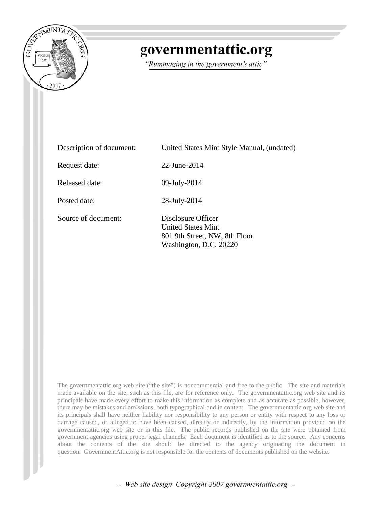

# governmentattic.org

"Rummaging in the government's attic"

| Description of document: | United States Mint Style Manual, (undated)                                                                 |  |  |
|--------------------------|------------------------------------------------------------------------------------------------------------|--|--|
| Request date:            | $22$ -June- $2014$                                                                                         |  |  |
| Released date:           | 09-July-2014                                                                                               |  |  |
| Posted date:             | 28-July-2014                                                                                               |  |  |
| Source of document:      | Disclosure Officer<br><b>United States Mint</b><br>801 9th Street, NW, 8th Floor<br>Washington, D.C. 20220 |  |  |

The governmentattic.org web site ("the site") is noncommercial and free to the public. The site and materials made available on the site, such as this file, are for reference only. The governmentattic.org web site and its principals have made every effort to make this information as complete and as accurate as possible, however, there may be mistakes and omissions, both typographical and in content. The governmentattic.org web site and its principals shall have neither liability nor responsibility to any person or entity with respect to any loss or damage caused, or alleged to have been caused, directly or indirectly, by the information provided on the governmentattic.org web site or in this file. The public records published on the site were obtained from government agencies using proper legal channels. Each document is identified as to the source. Any concerns about the contents of the site should be directed to the agency originating the document in question. GovernmentAttic.org is not responsible for the contents of documents published on the website.

-- Web site design Copyright 2007 governmentattic.org --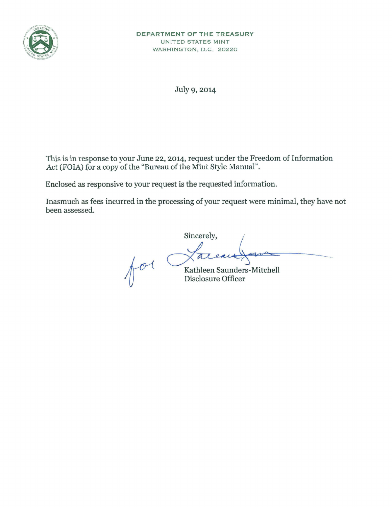

July 9, 2014

This is in response to your June 22, 2014, request under the Freedom of Information Act (FOIA) for a copy of the "Bureau of the Mint Style Manual".

Enclosed as responsive to your request is the requested information.

Inasmuch as fees incurred in the processing of your request were minimal, they have not been assessed.

Sincerely, Sincerely,<br>Avenue du Cathleen Saunders-Mitchell

I *U* Disclosure Officer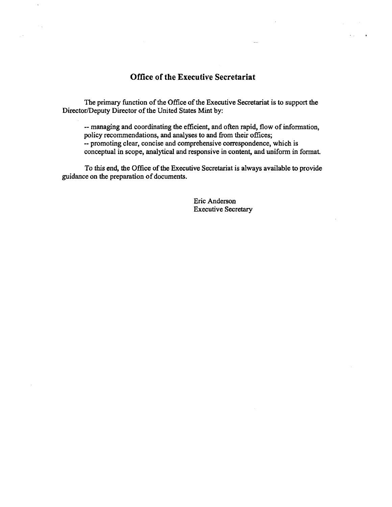# Office of the Executive Secretariat

 $\sim$   $_{\odot}$ 

The primary function of the Office of the Executive Secretariat is to support the Director/Deputy Director of the United States Mint by:

-- managing and coordinating the efficient, and often rapid, flow of information, policy recommendations, and analyses to and from their offices; -- promoting clear, concise and comprehensive correspondence, which is conceptual in scope, analytical and responsive in content, and uniform in format.

To this end, the Office of the Executive Secretariat is always available to provide guidance on the preparation of documents.

> Eric Anderson Executive Secretary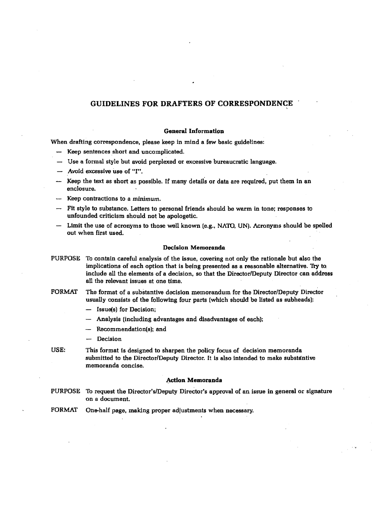#### GUIDELINES FOR DRAFTERS OF CORRESPONDENCE **'**

### General Information

When drafting correspondence, please keep in mind a few basic guidelines:

- Keep sentences short and uncomplicated.
- Use a formal style but avoid perplexed or excessive bureaucratic language.
- Avoid excessive use of "I".
- Keep the text as short as possible. If many details or data are required, put them in an enclosure.
- Keep contractions to a minimum.
- Fit style to substance. Letters to personal friends should be warm in tone; responses to unfounded criticism should not be apologetic.
- Limit the use of acronyms to those well known (e.g., NA1U, UN). Acronyms should be spelled out when first used.

#### Decision Memoranda

- PURPOSE To contain careful analysis of the issue, covering not only the rationale but also the implications of each option that is being presented as a reasonable alternative. Thy to. include all the elements of a decision, so that the Director/Deputy Director can address all the relevant issues at one time.
- FORMAT The format of a substantive decision memorandum for the Director/Deputy Director usually consists of the following four parts (which should be listed as subheads):
	- Issue(s) for Decision;
	- Analysis (including advantages and disadvantages of each);
	- Recommendation(s): and
	- Decision
- USE: This format is designed to sharpen the policy focus of decision memoranda submitted to the Director/Deputy Director. It is also intended to make substantive memoranda concise.

#### .Aciion Memoranda

- PURPOSE Th request the Director's!Deputy Director's approval of an issue in general or signature on a document.
- FORMAT One-half page, making proper adjustments when necessary.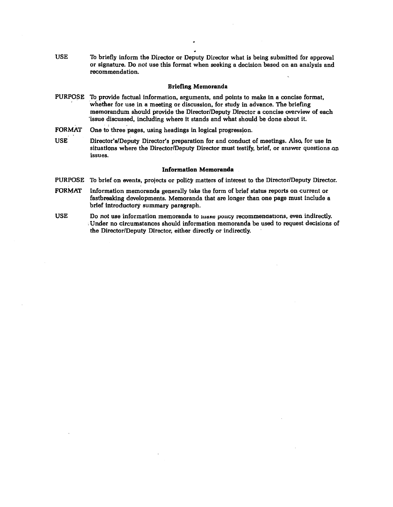USE To briefly inform the Director or Deputy Director what is being submitted for approval or signature. Do not use this format when seeking a decision based on an analysis and recommendation.

#### Briefing Memoranda

- PURPOSE To provide factual information, arguments, and points to make in a concise format, whether for use in a meeting or discussion, for study in advance. The briefing memorandum should provide the Director/Deputy Director a concise overview of each 'issue discussed, including where it stands and what should be done about it.
- FORMAT One to three pages, using headings in logical progression.
- USE Director's/Deputy Director's preparation for and conduct of meetings. Also, for use in situations where the Director/Deputy Director must testify, brief, or answer questions on issues.

#### Information Memoranda

PURPOSE To brief on events, projects or policy matters of interest to the Director/Deputy Director.

- FORMAT Information memoranda generally take the form of brief status reports on current or fastbreaking developments. Memoranda that are longer than one page must include a brief introductory summary paragraph.
- USE Do not use information memoranda to musse policy recommendations, even indirectly. : Under no circumstances should information memoranda be used to request decisions of the Director/Deputy Director, either directly or indirectly.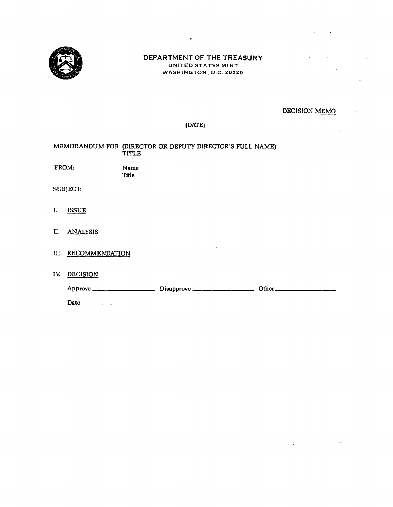

## **DEPARTMENT OF THE TREASURY**  UNITED STATES MINT WASHINGTON, D.C. ZOZZO

# DECISION MEMO

# (DNfE)

|                 |                     | <b>TITLE</b>         | MEMORANDUM FOR (DIRECTOR OR DEPUTY DIRECTOR'S FULL NAME) |  |  |  |
|-----------------|---------------------|----------------------|----------------------------------------------------------|--|--|--|
| FROM:           |                     | Name<br><b>Title</b> |                                                          |  |  |  |
| <b>SUBJECT:</b> |                     |                      |                                                          |  |  |  |
| I.              | <b>ISSUE</b>        |                      |                                                          |  |  |  |
|                 | II. ANALYSIS        |                      |                                                          |  |  |  |
|                 | III. RECOMMENDATION |                      |                                                          |  |  |  |
| IV.             | <b>DECISION</b>     |                      |                                                          |  |  |  |
|                 |                     |                      |                                                          |  |  |  |
|                 |                     |                      |                                                          |  |  |  |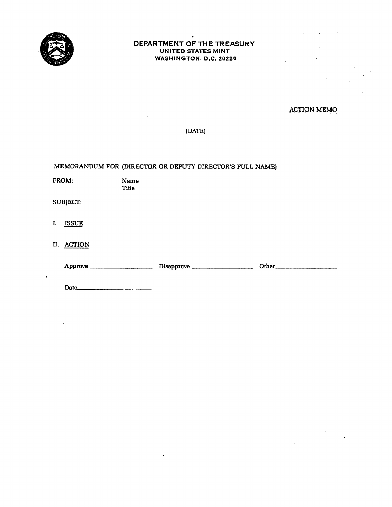

## DEPARTMENT OF THE TREASURY UNITED STATES MINT WASHINGTON, D.C. 20220

# ACTION MEMO

 $\label{eq:2} \frac{1}{\sqrt{2}}\left(\frac{1}{2}\right)^{2}\frac{1}{2}\left(\frac{1}{2}\right)^{2}$ 

## (DATE)

MEMORANDUM FOR (DIRECTOR OR DEPUTY DIRECTOR'S FULL NAME)

|                 | FROM:        | Name<br>Title |  |
|-----------------|--------------|---------------|--|
| <b>SUBJECT:</b> |              |               |  |
| $\mathbf{I}$    | <b>ISSUE</b> |               |  |
|                 | II. ACTION   |               |  |
|                 |              |               |  |
|                 |              |               |  |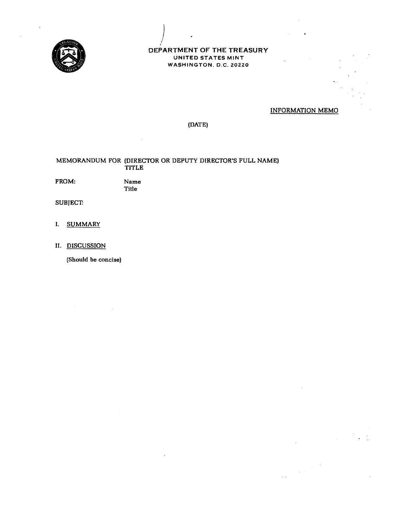

## **DEPARTMENT OF THE TREASURY**  UNITED STATES MINT WASHINGTON, D.C. 20220

## INFORMATION MEMO

 $\bar{z}$  .

# (DATE)

## MEMORANDUM FOR (DIRECTOR OR DEPUTY DIRECTOR'S FULL NAME) TITLE

 $\left| \right|$ I

FROM:

Title

Name

**SUBJECT:** 

- I. SUMMARY
- II. DISCUSSION

(Should be concise)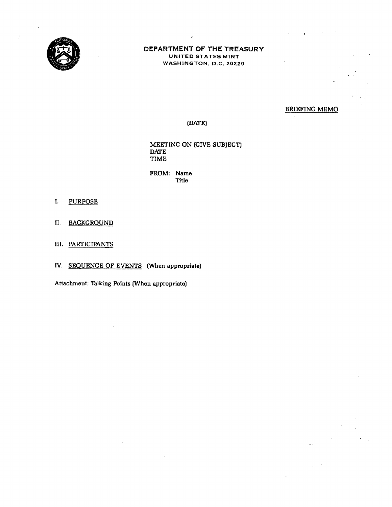

## DEPARTMENT OF THE TREASURY UNITED STATES MINT WASHINGTON, O.C. 20220

## BRIEFING MEMO

 $\epsilon$ 

 $\bar{\nu}_\mathrm{F}$ 

## (DATE)

MEETING ON (GIVE SUBJECT) DATE TIME

FROM: Name Title

- I. PURPOSE
- II. BACKGROUND
- III. PARTICIPANTS

IV. SEQUENCE OF EVENTS (When appropriate)

Attachment: Talking Points (When appropriate)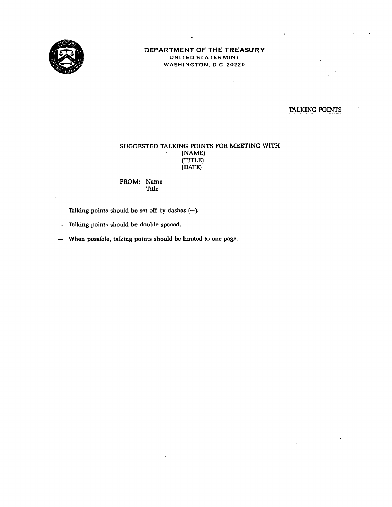

## **DEPARTMENT OF THE TREASURY**  UNITED STATES MINT WASHINGTON, D.C. ZOZZO

# TALKING POINTS

## SUGGESTED TALKING POINTS FOR MEETING WITH (NAME) (TITLE) (DATE)

FROM: Name Title

- $-$  Talking points should be set off by dashes  $(-)$ .
- Talking points should be double spaced. ---
- When possible, talking points should be limited to one page.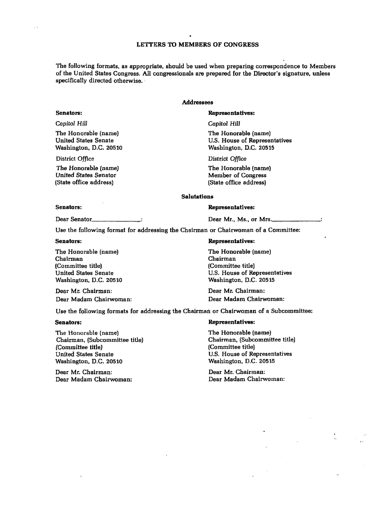The following formats, as appropriate, should be used when preparing correspondence to Members of the United States Congress. All congressionals are prepared for the Director's signature, unless specifically directed otherwise.

## **Addressees**

#### Representatives:

*Capitol Hill* 

The Honorable (name) U.S. House of Representatives Washington, D.C. 20515

District *Office* 

The Honorable (name) Member of Congress (State office address)

#### Salutations

#### Senators:

Dear Senator\_\_\_\_

Dear Mr., Ms., or Mrs.

Use the following format for addressing the Chairman or Chairwoman of a Committee:

Senators:

The Honorable (name) Chairman (Committee title) United States Senate Washington, D.C. 20510

Dear Mr. Chairman: Dear Madam Chairwoman:

#### Representatives:

Representatives:

The Honorable (name) Chairman (Committee title) U.S. House of Representatives Washington, D.C. 20515

Dear Mr. Chairman: Dear Madam Chairwoman:

Use the following formats for addressing the Chairman or Chairwoman of a Subcommittee:

#### Senators:

The Honorable {name) Chairman, (Subcommittee title) (Committee title) United States Senate Washington, D.C. 20510

Dear Mr. Chairman: Dear Madam Chairwoman:

#### Representatives:

The Honorable (name) Chairman, (Subcommittee title] (Committee title) U.S. House of Representatives Washington, D.C. 20515

Dear Mr. Chairman: Dear Madam Chairwoman:

# Senators: Capitol Hill

District Office

The Honorable (name) United States Senate Washington, D.C. 20510

The Honorable (name) United States Senator (State office address)